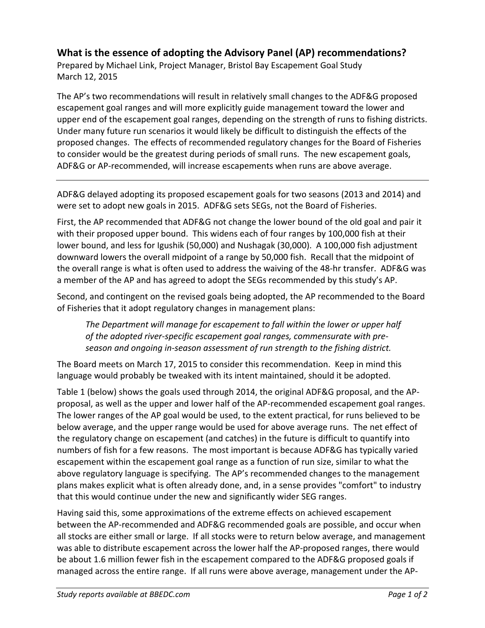## **What is the essence of adopting the Advisory Panel (AP) recommendations?**

Prepared by Michael Link, Project Manager, Bristol Bay Escapement Goal Study March 12, 2015

The AP's two recommendations will result in relatively small changes to the ADF&G proposed escapement goal ranges and will more explicitly guide management toward the lower and upper end of the escapement goal ranges, depending on the strength of runs to fishing districts. Under many future run scenarios it would likely be difficult to distinguish the effects of the proposed changes. The effects of recommended regulatory changes for the Board of Fisheries to consider would be the greatest during periods of small runs. The new escapement goals, ADF&G or AP‐recommended, will increase escapements when runs are above average.

ADF&G delayed adopting its proposed escapement goals for two seasons (2013 and 2014) and were set to adopt new goals in 2015. ADF&G sets SEGs, not the Board of Fisheries.

First, the AP recommended that ADF&G not change the lower bound of the old goal and pair it with their proposed upper bound. This widens each of four ranges by 100,000 fish at their lower bound, and less for Igushik (50,000) and Nushagak (30,000). A 100,000 fish adjustment downward lowers the overall midpoint of a range by 50,000 fish. Recall that the midpoint of the overall range is what is often used to address the waiving of the 48‐hr transfer. ADF&G was a member of the AP and has agreed to adopt the SEGs recommended by this study's AP.

Second, and contingent on the revised goals being adopted, the AP recommended to the Board of Fisheries that it adopt regulatory changes in management plans:

*The Department will manage for escapement to fall within the lower or upper half of the adopted river‐specific escapement goal ranges, commensurate with pre‐ season and ongoing in‐season assessment of run strength to the fishing district.*

The Board meets on March 17, 2015 to consider this recommendation. Keep in mind this language would probably be tweaked with its intent maintained, should it be adopted.

Table 1 (below) shows the goals used through 2014, the original ADF&G proposal, and the AP‐ proposal, as well as the upper and lower half of the AP‐recommended escapement goal ranges. The lower ranges of the AP goal would be used, to the extent practical, for runs believed to be below average, and the upper range would be used for above average runs. The net effect of the regulatory change on escapement (and catches) in the future is difficult to quantify into numbers of fish for a few reasons. The most important is because ADF&G has typically varied escapement within the escapement goal range as a function of run size, similar to what the above regulatory language is specifying. The AP's recommended changes to the management plans makes explicit what is often already done, and, in a sense provides "comfort" to industry that this would continue under the new and significantly wider SEG ranges.

Having said this, some approximations of the extreme effects on achieved escapement between the AP‐recommended and ADF&G recommended goals are possible, and occur when all stocks are either small or large. If all stocks were to return below average, and management was able to distribute escapement across the lower half the AP‐proposed ranges, there would be about 1.6 million fewer fish in the escapement compared to the ADF&G proposed goals if managed across the entire range. If all runs were above average, management under the AP‐